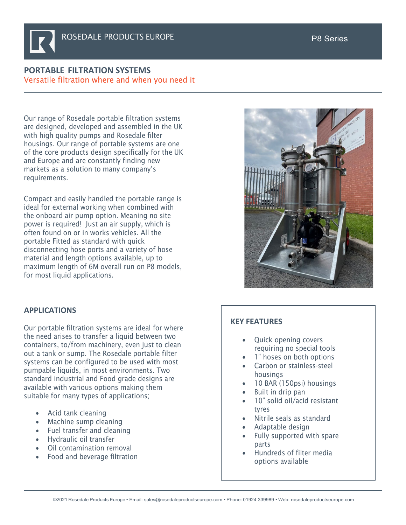## **PORTABLE FILTRATION SYSTEMS** Versatile filtration where and when you need it

Our range of Rosedale portable filtration systems are designed, developed and assembled in the UK with high quality pumps and Rosedale filter housings. Our range of portable systems are one of the core products design specifically for the UK and Europe and are constantly finding new markets as a solution to many company's requirements.

Compact and easily handled the portable range is ideal for external working when combined with the onboard air pump option. Meaning no site power is required! Just an air supply, which is often found on or in works vehicles. All the portable Fitted as standard with quick disconnecting hose ports and a variety of hose material and length options available, up to maximum length of 6M overall run on P8 models, for most liquid applications.

# **APPLICATIONS**

Our portable filtration systems are ideal for where the need arises to transfer a liquid between two containers, to/from machinery, even just to clean out a tank or sump. The Rosedale portable filter systems can be configured to be used with most pumpable liquids, in most environments. Two standard industrial and Food grade designs are available with various options making them suitable for many types of applications;

- Acid tank cleaning
- Machine sump cleaning
- Fuel transfer and cleaning
- Hydraulic oil transfer
- Oil contamination removal
- Food and beverage filtration

### **KEY FEATURES**

- Quick opening covers requiring no special tools
- 1" hoses on both options
- Carbon or stainless-steel housings
- 10 BAR (150psi) housings
- Built in drip pan
- 10" solid oil/acid resistant tyres
- Nitrile seals as standard
- Adaptable design
- Fully supported with spare parts
- Hundreds of filter media options available